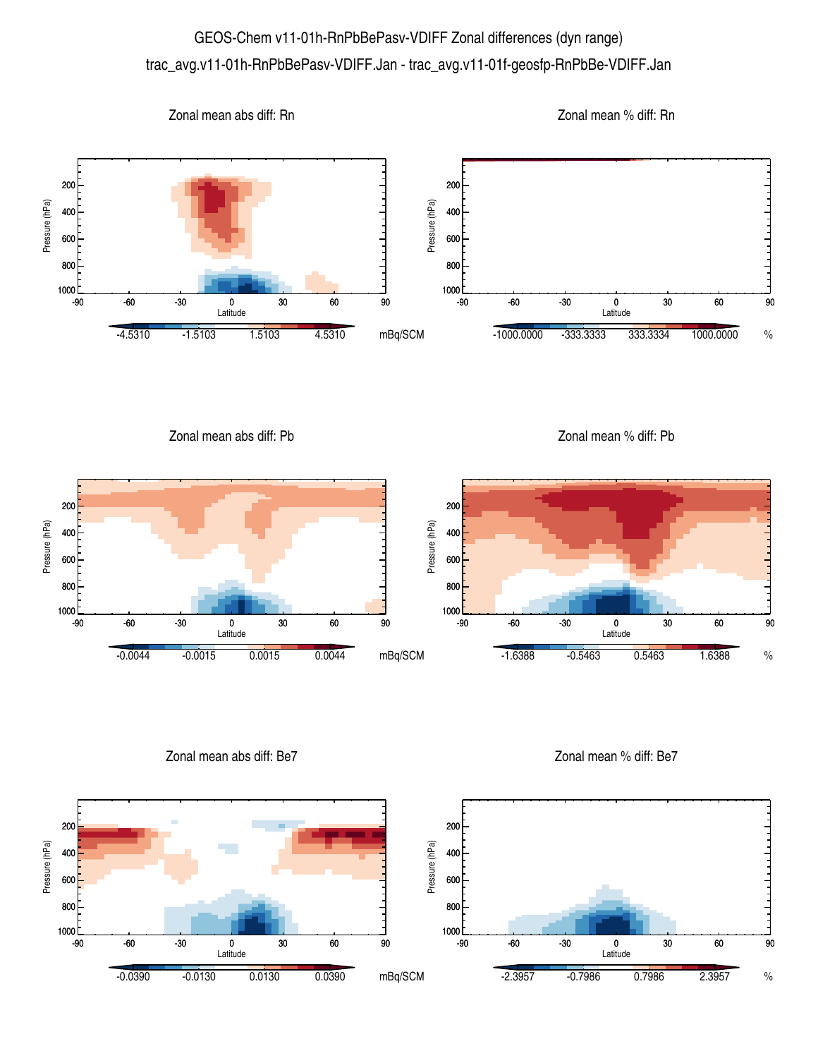## GEOS-Chem v11-01h-RnPbBePasv-VDIFF Zonal differences (dyn range) trac\_avg.v11-01h-RnPbBePasv-VDIFF.Jan - trac\_avg.v11-01f-geosfp-RnPbBe-VDIFF.Jan



Zonal mean abs diff: Pb

Zonal mean % diff: Pb



Zonal mean abs diff: Be7